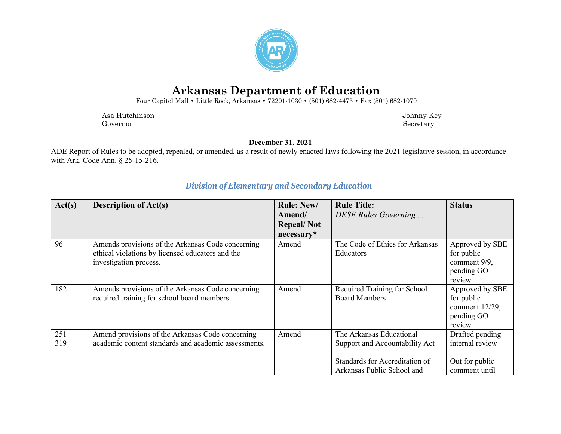

# **Arkansas Department of Education**

Four Capitol Mall **•** Little Rock, Arkansas **•** 72201-1030 **•** (501) 682-4475 **•** Fax (501) 682-1079

 Asa Hutchinson Johnny Key Governor Secretary Secretary Secretary Secretary Secretary Secretary Secretary Secretary Secretary Secretary Secretary Secretary Secretary Secretary Secretary Secretary Secretary Secretary Secretary Secretary Secretary Sec

**December 31, 2021**

ADE Report of Rules to be adopted, repealed, or amended, as a result of newly enacted laws following the 2021 legislative session, in accordance with Ark. Code Ann. § 25-15-216.

| Act(s) | <b>Description of Act(s)</b>                         | <b>Rule: New/</b> | <b>Rule Title:</b>              | <b>Status</b>   |
|--------|------------------------------------------------------|-------------------|---------------------------------|-----------------|
|        |                                                      | Amend/            | DESE Rules Governing            |                 |
|        |                                                      | <b>Repeal/Not</b> |                                 |                 |
|        |                                                      | necessary*        |                                 |                 |
| 96     | Amends provisions of the Arkansas Code concerning    | Amend             | The Code of Ethics for Arkansas | Approved by SBE |
|        | ethical violations by licensed educators and the     |                   | <b>Educators</b>                | for public      |
|        | investigation process.                               |                   |                                 | comment 9/9,    |
|        |                                                      |                   |                                 | pending GO      |
|        |                                                      |                   |                                 | review          |
| 182    | Amends provisions of the Arkansas Code concerning    | Amend             | Required Training for School    | Approved by SBE |
|        | required training for school board members.          |                   | <b>Board Members</b>            | for public      |
|        |                                                      |                   |                                 | comment 12/29,  |
|        |                                                      |                   |                                 | pending GO      |
|        |                                                      |                   |                                 | review          |
| 251    | Amend provisions of the Arkansas Code concerning     | Amend             | The Arkansas Educational        | Drafted pending |
| 319    | academic content standards and academic assessments. |                   | Support and Accountability Act  | internal review |
|        |                                                      |                   |                                 |                 |
|        |                                                      |                   | Standards for Accreditation of  | Out for public  |
|        |                                                      |                   | Arkansas Public School and      | comment until   |

### *Division of Elementary and Secondary Education*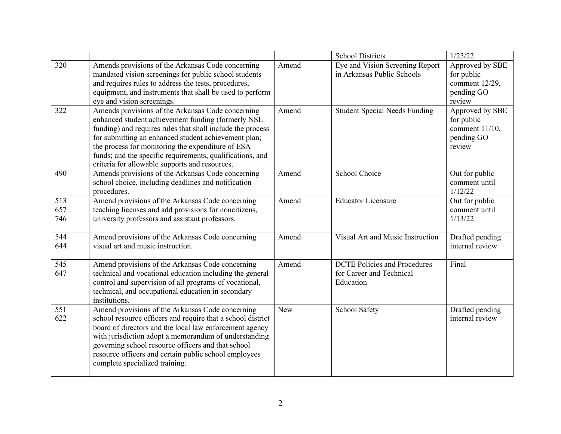|                   |                                                                                                                                                                                                                                                                                                                                                                                                   |       | <b>School Districts</b>                                                      | 1/25/22                                                                    |
|-------------------|---------------------------------------------------------------------------------------------------------------------------------------------------------------------------------------------------------------------------------------------------------------------------------------------------------------------------------------------------------------------------------------------------|-------|------------------------------------------------------------------------------|----------------------------------------------------------------------------|
| 320               | Amends provisions of the Arkansas Code concerning<br>mandated vision screenings for public school students<br>and requires rules to address the tests, procedures,<br>equipment, and instruments that shall be used to perform<br>eye and vision screenings.                                                                                                                                      | Amend | Eye and Vision Screening Report<br>in Arkansas Public Schools                | Approved by SBE<br>for public<br>comment 12/29,<br>pending GO<br>review    |
| 322               | Amends provisions of the Arkansas Code concerning<br>enhanced student achievement funding (formerly NSL<br>funding) and requires rules that shall include the process<br>for submitting an enhanced student achievement plan;<br>the process for monitoring the expenditure of ESA<br>funds; and the specific requirements, qualifications, and<br>criteria for allowable supports and resources. | Amend | <b>Student Special Needs Funding</b>                                         | Approved by SBE<br>for public<br>comment $11/10$ ,<br>pending GO<br>review |
| 490               | Amends provisions of the Arkansas Code concerning<br>school choice, including deadlines and notification<br>procedures.                                                                                                                                                                                                                                                                           | Amend | School Choice                                                                | Out for public<br>comment until<br>1/12/22                                 |
| 513<br>657<br>746 | Amend provisions of the Arkansas Code concerning<br>teaching licenses and add provisions for noncitizens,<br>university professors and assistant professors.                                                                                                                                                                                                                                      | Amend | <b>Educator Licensure</b>                                                    | Out for public<br>comment until<br>1/13/22                                 |
| 544<br>644        | Amend provisions of the Arkansas Code concerning<br>visual art and music instruction.                                                                                                                                                                                                                                                                                                             | Amend | Visual Art and Music Instruction                                             | Drafted pending<br>internal review                                         |
| 545<br>647        | Amend provisions of the Arkansas Code concerning<br>technical and vocational education including the general<br>control and supervision of all programs of vocational,<br>technical, and occupational education in secondary<br>institutions.                                                                                                                                                     | Amend | <b>DCTE Policies and Procedures</b><br>for Career and Technical<br>Education | Final                                                                      |
| 551<br>622        | Amend provisions of the Arkansas Code concerning<br>school resource officers and require that a school district<br>board of directors and the local law enforcement agency<br>with jurisdiction adopt a memorandum of understanding<br>governing school resource officers and that school<br>resource officers and certain public school employees<br>complete specialized training.              | New   | School Safety                                                                | Drafted pending<br>internal review                                         |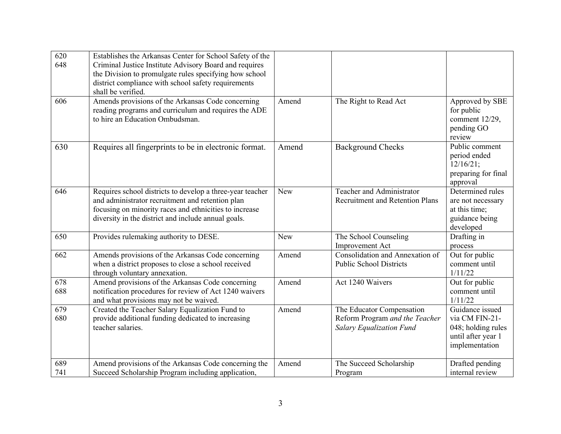| $\overline{620}$ | Establishes the Arkansas Center for School Safety of the                                |            |                                        |                              |
|------------------|-----------------------------------------------------------------------------------------|------------|----------------------------------------|------------------------------|
| 648              | Criminal Justice Institute Advisory Board and requires                                  |            |                                        |                              |
|                  | the Division to promulgate rules specifying how school                                  |            |                                        |                              |
|                  | district compliance with school safety requirements                                     |            |                                        |                              |
|                  | shall be verified.                                                                      |            |                                        |                              |
| 606              | Amends provisions of the Arkansas Code concerning                                       | Amend      | The Right to Read Act                  | Approved by SBE              |
|                  | reading programs and curriculum and requires the ADE<br>to hire an Education Ombudsman. |            |                                        | for public<br>comment 12/29, |
|                  |                                                                                         |            |                                        | pending GO                   |
|                  |                                                                                         |            |                                        | review                       |
| 630              | Requires all fingerprints to be in electronic format.                                   | Amend      | <b>Background Checks</b>               | Public comment               |
|                  |                                                                                         |            |                                        | period ended                 |
|                  |                                                                                         |            |                                        | $12/16/21$ ;                 |
|                  |                                                                                         |            |                                        | preparing for final          |
|                  |                                                                                         |            |                                        | approval                     |
| 646              | Requires school districts to develop a three-year teacher                               | <b>New</b> | Teacher and Administrator              | Determined rules             |
|                  | and administrator recruitment and retention plan                                        |            | <b>Recruitment and Retention Plans</b> | are not necessary            |
|                  | focusing on minority races and ethnicities to increase                                  |            |                                        | at this time;                |
|                  | diversity in the district and include annual goals.                                     |            |                                        | guidance being               |
| 650              | Provides rulemaking authority to DESE.                                                  | <b>New</b> | The School Counseling                  | developed<br>Drafting in     |
|                  |                                                                                         |            | Improvement Act                        | process                      |
| 662              | Amends provisions of the Arkansas Code concerning                                       | Amend      | Consolidation and Annexation of        | Out for public               |
|                  | when a district proposes to close a school received                                     |            | <b>Public School Districts</b>         | comment until                |
|                  | through voluntary annexation.                                                           |            |                                        | 1/11/22                      |
| 678              | Amend provisions of the Arkansas Code concerning                                        | Amend      | Act 1240 Waivers                       | Out for public               |
| 688              | notification procedures for review of Act 1240 waivers                                  |            |                                        | comment until                |
|                  | and what provisions may not be waived.                                                  |            |                                        | 1/11/22                      |
| 679              | Created the Teacher Salary Equalization Fund to                                         | Amend      | The Educator Compensation              | Guidance issued              |
| 680              | provide additional funding dedicated to increasing                                      |            | Reform Program and the Teacher         | via CM FIN-21-               |
|                  | teacher salaries.                                                                       |            | <b>Salary Equalization Fund</b>        | 048; holding rules           |
|                  |                                                                                         |            |                                        | until after year 1           |
|                  |                                                                                         |            |                                        | implementation               |
| 689              | Amend provisions of the Arkansas Code concerning the                                    | Amend      | The Succeed Scholarship                | Drafted pending              |
| 741              | Succeed Scholarship Program including application,                                      |            | Program                                | internal review              |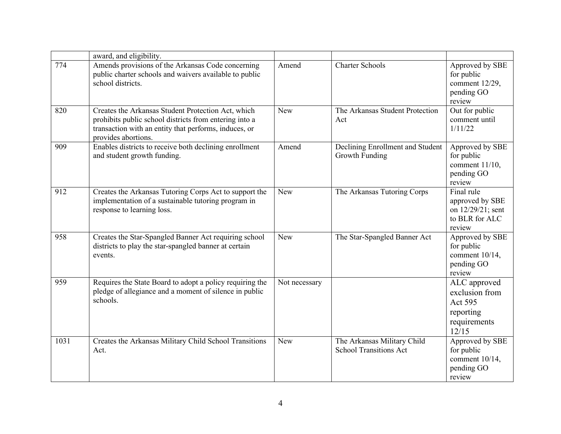|      | award, and eligibility.                                                                                                                                                                      |               |                                                              |                                                                                 |
|------|----------------------------------------------------------------------------------------------------------------------------------------------------------------------------------------------|---------------|--------------------------------------------------------------|---------------------------------------------------------------------------------|
| 774  | Amends provisions of the Arkansas Code concerning<br>public charter schools and waivers available to public<br>school districts.                                                             | Amend         | <b>Charter Schools</b>                                       | Approved by SBE<br>for public<br>comment 12/29,<br>pending GO<br>review         |
| 820  | Creates the Arkansas Student Protection Act, which<br>prohibits public school districts from entering into a<br>transaction with an entity that performs, induces, or<br>provides abortions. | <b>New</b>    | The Arkansas Student Protection<br>Act                       | Out for public<br>comment until<br>1/11/22                                      |
| 909  | Enables districts to receive both declining enrollment<br>and student growth funding.                                                                                                        | Amend         | Declining Enrollment and Student<br>Growth Funding           | Approved by SBE<br>for public<br>comment $11/10$ ,<br>pending GO<br>review      |
| 912  | Creates the Arkansas Tutoring Corps Act to support the<br>implementation of a sustainable tutoring program in<br>response to learning loss.                                                  | <b>New</b>    | The Arkansas Tutoring Corps                                  | Final rule<br>approved by SBE<br>on 12/29/21; sent<br>to BLR for ALC<br>review  |
| 958  | Creates the Star-Spangled Banner Act requiring school<br>districts to play the star-spangled banner at certain<br>events.                                                                    | New           | The Star-Spangled Banner Act                                 | Approved by SBE<br>for public<br>comment $10/14$ ,<br>pending GO<br>review      |
| 959  | Requires the State Board to adopt a policy requiring the<br>pledge of allegiance and a moment of silence in public<br>schools.                                                               | Not necessary |                                                              | ALC approved<br>exclusion from<br>Act 595<br>reporting<br>requirements<br>12/15 |
| 1031 | Creates the Arkansas Military Child School Transitions<br>Act.                                                                                                                               | <b>New</b>    | The Arkansas Military Child<br><b>School Transitions Act</b> | Approved by SBE<br>for public<br>comment 10/14,<br>pending GO<br>review         |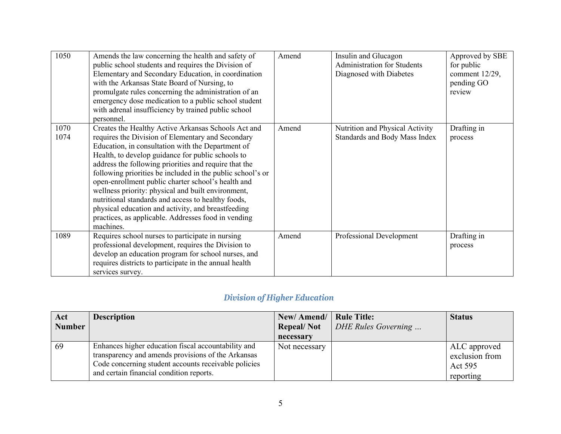| 1050         | Amends the law concerning the health and safety of<br>public school students and requires the Division of<br>Elementary and Secondary Education, in coordination<br>with the Arkansas State Board of Nursing, to<br>promulgate rules concerning the administration of an<br>emergency dose medication to a public school student<br>with adrenal insufficiency by trained public school<br>personnel.                                                                                                                                                                                                                                 | Amend | Insulin and Glucagon<br><b>Administration for Students</b><br>Diagnosed with Diabetes | Approved by SBE<br>for public<br>comment $12/29$ ,<br>pending GO<br>review |
|--------------|---------------------------------------------------------------------------------------------------------------------------------------------------------------------------------------------------------------------------------------------------------------------------------------------------------------------------------------------------------------------------------------------------------------------------------------------------------------------------------------------------------------------------------------------------------------------------------------------------------------------------------------|-------|---------------------------------------------------------------------------------------|----------------------------------------------------------------------------|
| 1070<br>1074 | Creates the Healthy Active Arkansas Schools Act and<br>requires the Division of Elementary and Secondary<br>Education, in consultation with the Department of<br>Health, to develop guidance for public schools to<br>address the following priorities and require that the<br>following priorities be included in the public school's or<br>open-enrollment public charter school's health and<br>wellness priority: physical and built environment,<br>nutritional standards and access to healthy foods,<br>physical education and activity, and breastfeeding<br>practices, as applicable. Addresses food in vending<br>machines. | Amend | Nutrition and Physical Activity<br>Standards and Body Mass Index                      | Drafting in<br>process                                                     |
| 1089         | Requires school nurses to participate in nursing<br>professional development, requires the Division to<br>develop an education program for school nurses, and<br>requires districts to participate in the annual health<br>services survey.                                                                                                                                                                                                                                                                                                                                                                                           | Amend | Professional Development                                                              | Drafting in<br>process                                                     |

## *Division of Higher Education*

| Act           | <b>Description</b>                                                                                                                                                                                            | New/Amend/   Rule Title: |                            | <b>Status</b>                                                 |
|---------------|---------------------------------------------------------------------------------------------------------------------------------------------------------------------------------------------------------------|--------------------------|----------------------------|---------------------------------------------------------------|
| <b>Number</b> |                                                                                                                                                                                                               | <b>Repeal/Not</b>        | <b>DHE Rules Governing</b> |                                                               |
|               |                                                                                                                                                                                                               | necessary                |                            |                                                               |
| 69            | Enhances higher education fiscal accountability and<br>transparency and amends provisions of the Arkansas<br>Code concerning student accounts receivable policies<br>and certain financial condition reports. | Not necessary            |                            | ALC approved<br>exclusion from<br><b>Act 595</b><br>reporting |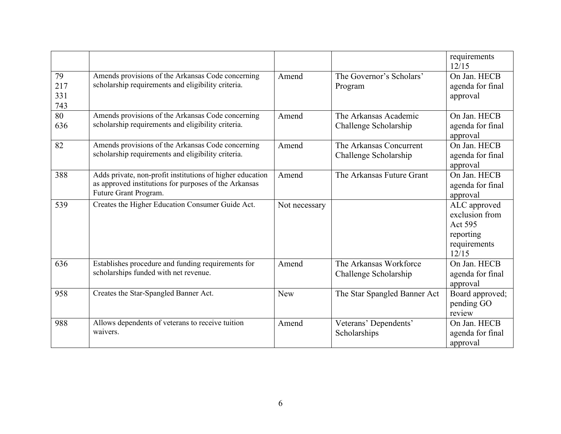|                         |                                                                                                                                             |               |                                                  | requirements<br>12/15                                                           |
|-------------------------|---------------------------------------------------------------------------------------------------------------------------------------------|---------------|--------------------------------------------------|---------------------------------------------------------------------------------|
| 79<br>217<br>331<br>743 | Amends provisions of the Arkansas Code concerning<br>scholarship requirements and eligibility criteria.                                     | Amend         | The Governor's Scholars'<br>Program              | On Jan. HECB<br>agenda for final<br>approval                                    |
| 80<br>636               | Amends provisions of the Arkansas Code concerning<br>scholarship requirements and eligibility criteria.                                     | Amend         | The Arkansas Academic<br>Challenge Scholarship   | On Jan. HECB<br>agenda for final<br>approval                                    |
| 82                      | Amends provisions of the Arkansas Code concerning<br>scholarship requirements and eligibility criteria.                                     | Amend         | The Arkansas Concurrent<br>Challenge Scholarship | On Jan. HECB<br>agenda for final<br>approval                                    |
| 388                     | Adds private, non-profit institutions of higher education<br>as approved institutions for purposes of the Arkansas<br>Future Grant Program. | Amend         | The Arkansas Future Grant                        | On Jan. HECB<br>agenda for final<br>approval                                    |
| 539                     | Creates the Higher Education Consumer Guide Act.                                                                                            | Not necessary |                                                  | ALC approved<br>exclusion from<br>Act 595<br>reporting<br>requirements<br>12/15 |
| 636                     | Establishes procedure and funding requirements for<br>scholarships funded with net revenue.                                                 | Amend         | The Arkansas Workforce<br>Challenge Scholarship  | On Jan. HECB<br>agenda for final<br>approval                                    |
| 958                     | Creates the Star-Spangled Banner Act.                                                                                                       | New           | The Star Spangled Banner Act                     | Board approved;<br>pending GO<br>review                                         |
| 988                     | Allows dependents of veterans to receive tuition<br>waivers.                                                                                | Amend         | Veterans' Dependents'<br>Scholarships            | On Jan. HECB<br>agenda for final<br>approval                                    |